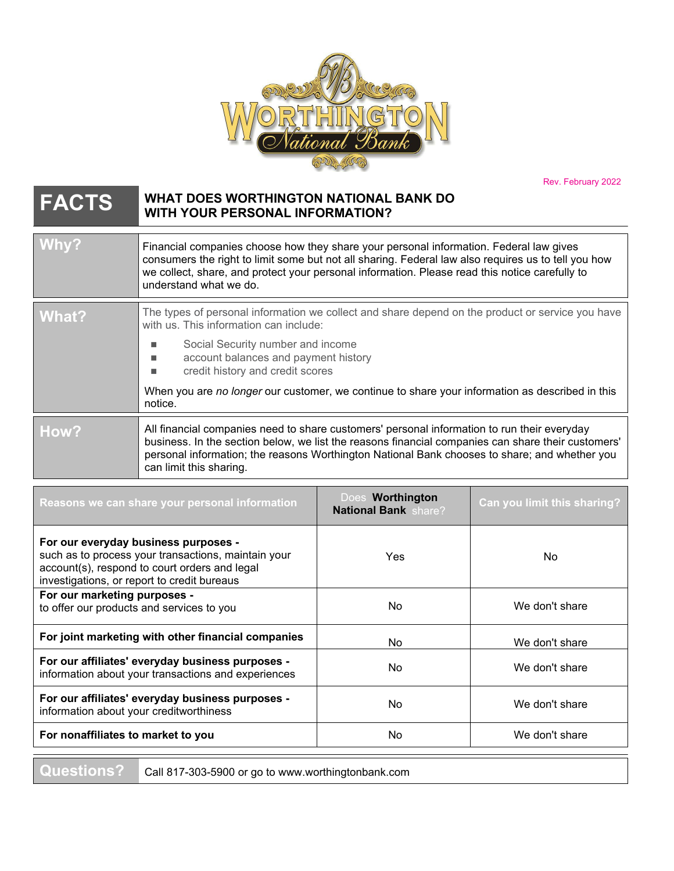

Rev. February 2022

## **FACTS WHAT DOES WORTHINGTON NATIONAL BANK DO WITH YOUR PERSONAL INFORMATION?**

| Why?  | Financial companies choose how they share your personal information. Federal law gives<br>consumers the right to limit some but not all sharing. Federal law also requires us to tell you how<br>we collect, share, and protect your personal information. Please read this notice carefully to<br>understand what we do.     |  |
|-------|-------------------------------------------------------------------------------------------------------------------------------------------------------------------------------------------------------------------------------------------------------------------------------------------------------------------------------|--|
| What? | The types of personal information we collect and share depend on the product or service you have<br>with us. This information can include:                                                                                                                                                                                    |  |
|       | Social Security number and income<br>account balances and payment history<br>٠<br>credit history and credit scores                                                                                                                                                                                                            |  |
|       | When you are no longer our customer, we continue to share your information as described in this<br>notice.                                                                                                                                                                                                                    |  |
| How?  | All financial companies need to share customers' personal information to run their everyday<br>business. In the section below, we list the reasons financial companies can share their customers'<br>personal information; the reasons Worthington National Bank chooses to share; and whether you<br>can limit this sharing. |  |

| Reasons we can share your personal information                                                                                                                                              | Does Worthington<br><b>National Bank share?</b> | Can you limit this sharing? |
|---------------------------------------------------------------------------------------------------------------------------------------------------------------------------------------------|-------------------------------------------------|-----------------------------|
| For our everyday business purposes -<br>such as to process your transactions, maintain your<br>account(s), respond to court orders and legal<br>investigations, or report to credit bureaus | Yes.                                            | No.                         |
| For our marketing purposes -<br>to offer our products and services to you                                                                                                                   | No.                                             | We don't share              |
| For joint marketing with other financial companies                                                                                                                                          | No.                                             | We don't share              |
| For our affiliates' everyday business purposes -<br>information about your transactions and experiences                                                                                     | No.                                             | We don't share              |
| For our affiliates' everyday business purposes -<br>information about your creditworthiness                                                                                                 | No                                              | We don't share              |
| For nonaffiliates to market to you                                                                                                                                                          | <b>No</b>                                       | We don't share              |

**Questions?** Call 817-303-5900 or go to www.worthingtonbank.com